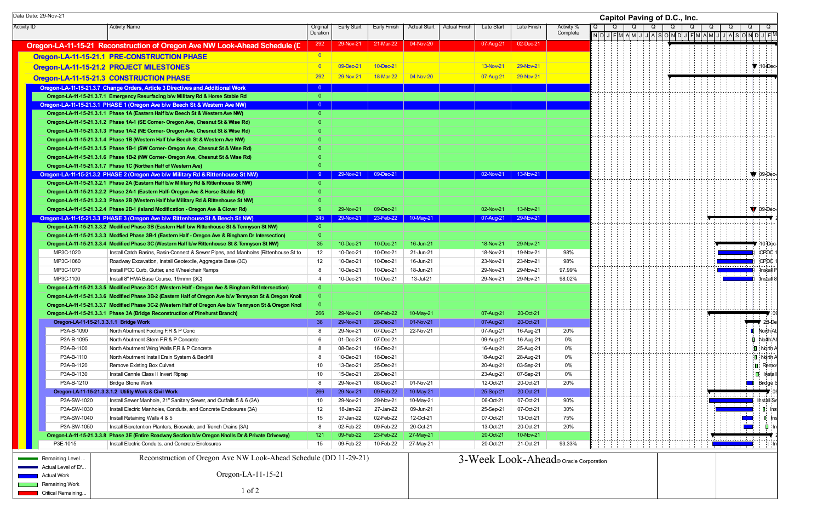Activity ID | Activity Name | Original DurationEarly Start Early Finish Actual Start Actual Finish Late Start Late Finish Activity % **Complete Oregon-LA-11-15-21 Reconstruction of Oregon Ave NW Look-Ahead Schedule ( R D** <sup>292</sup> 29-Nov-21 21-Mar-22 04-Nov-20 07-Aug-21 02-Dec-21 **Oregon-LA-11-15-21.1 PRE-CONSTRUCTION PHASE Department of the CONSTRUCTION PHASE Oregon-LA-11-15-21.2 PROJECT MILESTONES 29-Nov-21 29-Nov-21 29-Nov-21 29-Nov-21 29-Nov-21 29-Nov-21 29-Nov-21 Oregon-LA-11-15-21.3 CONSTRUCTION PHASE** 292 29-Nov-21 292 29-Nov-21 28-Mar-22 04-Nov-20 37-Aug-21 29-Nov-21 **Oregon-LA-11-15-21.3.7 Change Orders, Article 3 Directi C ves and Additional Work** <sup>0</sup> **Oregon-LA-11-15-21.3.7. Oregon-LA-11-15-21.3.7.1 Emergency Resurfacing b/w M 1 ilitary Rd & Horse Stable Rd** 0 **Oregon-LA-11-15-21.3.1 PHASE 1 (Oregon Ave b/w Beech St & Western Ave NW)** 0 **Oregon-LA-11-15-21.3.1. Oregon-LA-11-15-21.3.1.1 Phase 1A (Eastern Half b/w Beech St & Western Ave NW)** 0 **Oregon-LA-11-15-21.3.1. Oregon-LA-11-15-21.3.1.2 Phase 1A-1 (SE Corner- Oregon Ave, Chesnut St & Wise Rd)** 0 **Oregon-LA-11-15-21.3.1. Oregon-LA-11-15-21.3.1.3 Phase 1A-2 (NE Corner- Oregon Ave, Chesnut St & Wise Rd)** 0 **Oregon-LA-11-15-21.3.1. Oregon-LA-11-15-21.3.1.4 Phase 1B (Western Half b/w Beech St & Western Ave NW)** 0 **Oregon-LA-11-15-21.3.1. Oregon-LA-11-15-21.3.1.5 Phase 1B-1 (SW Corner- Oregon Ave, Chesnut St & Wise Rd)** 0 **Oregon-LA-11-15-21.3.1. Oregon-LA-11-15-21.3.1.6 Phase 1B-2 (NW Corner- Oregon Ave, Chesnut St & Wise Rd)** 0 **Oregon-LA-11-15-21.3.1. Oregon-LA-11-15-21.3.1.7 Phase 1C (Northen Half of Western Ave)** 0 **Oregon-LA-11-15-21.3.2 PHASE 2 (Oregon Ave b/w Military Rd & Rittenhouse St NW) Property Article 20-Nov-21 13-Nov-21 13-Nov-21 13-Nov-21 13-Nov-21 13-Nov-21 13-Nov-21 13-Nov-21 13-Nov-21 13-Nov-21 13-Nov-21 13-Nov-21 13 Oregon-LA-11-15-21.3.2. Oregon-LA-11-15-21.3.2.1 Phase 2A (Eastern Half b/w Military Rd & Rittenhouse St NW)** 0 **Oregon-LA-11-15-21.3.2. Oregon-LA-11-15-21.3.2.2 Phase 2A-1 (Eastern Half- Oregon Ave & Horse Stable Rd)** 0 **Oregon-LA-11-15-21.3.2. Oregon-LA-11-15-21.3.2.3 Phase 2B (Western Half b/w Military Rd & Rittenhouse St NW)** 0 **Oregon-LA-11-15-21.3.2. Oregon-LA-11-15-21.3.2.4 Phase 2B-1 (Island Modification - Oregon Ave & Clover Rd)** 9 29-Nov-21 09-Dec-21 02-Nov-21 13-Nov-21 **Oregon-LA-11-15-21.3.3 PHASE 3 (Oregon Ave b/w Rittenhouse St & Beech St NW)** 245 29-Nov-21 23-Feb-22 10-May-21 07-May-21 07-Aug-21 29-Nov-21 **Oregon-LA-11-15-21.3.3.2 Modified Phase 3B (Eastern Half b/w Rittenhouse St & Tennyson St NW) Oregon-LA-11-15-21.3.3.3 Modfied Phase 3B-1 (Eastern Half - Oregon Ave & Bingham Dr Intersection) Oregon-LA-11-15-21.3.3.4 Modified Phase 3C (Western Half b/w Rittenhouse St & Tennyson St NW) 35 10-Dec-21 10-Dec-21 16-Jun-21 18-Nov-21 18-Nov-21 29-Nov-21 29-Nov-21** MP3C-1020 Install Catch Basins, Basin-Connect & Sewer Pipes, and Manholes (Rittenhouse St to 12 10-Dec-21 10-Dec-21 21-Jun-21 18-Nov-21 19-Nov-21 98% MP3C-1060Roadway Excavation, Install Geotextile, Aggregate Base (3C) 12 10-Dec-21 10-Dec-21 16-Jun-21 23-Nov-21 23-Nov-21 98% MP3C-1070 Install PCC Curb, Gutter, and Wheelchair Ramps 8 10-Dec-21 10-Dec-21 18-Jun-21 29-Nov-21 29-Nov-21 97.99% MP3C-1100 Install 8" HMA Base Course, 19mmn (3C) 4 10-Dec-21 10-Dec-21 13-Jul-21 29-Nov-21 29-Nov-21 98.02% **Oregon-LA-11-15-21.3.3.5 Modified Phase 3C-1 (Western Half - Oregon Ave & Bingham Rd Intersection)** 0 **Oregon-LA-11-15-21.3.3.6 Modified Phase 3B-2 (Eastern Half of Oregon Ave b/w Tennyson St & Oregon Knoll** 0 **Oregon-LA-11-15-21.3.3.7 Modified Phase 3C-2 (Western Half of Oregon Ave b/w Tennyson St & Oregon Knol Oregon-LA-11-15-21.3.3. Oregon-LA-11-15-21.3.3.1 Phase 3A (Bridge Reconstruction of Pinehurst Branch)** 266 29-Nov-21 09-Feb-22 10-May-21 07-Aug-21 20-Oct-21 **Oregon-LA-11-15-21. Oregon-LA-11-15-21.3.3.1.1 Bridge Work 3** 38 29-Nov-21 28-Dec-21 01-Nov-21 07-Aug-21 20-Oct-21 P3A-B-1090North Abutment Footing F,R & P Conc 20% **CONCRETE: 8** 29-Nov-21 07-Dec-21 22-Nov-21 07-Aug-21 16-Aug-21 20% P3A-B-1095North Abutment Stem F,R & P Concrete 6 01-Dec-21 07-Dec-21 07-Dec-21 07-Dec-21 09-Aug-21 16-Aug-21 0% P3A-B-1100North Abutment Wing Walls F,R & P Concrete 8 08-Dec-21 16-Dec-21 16-Dec-21 16-Dec-21 16-Aug-21 25-Aug-21 0% P3A-B-1110North Abutment Install Drain System & Backfill **8 10-Dec-21 18-Dec-21 18-Dec-21** 18-0ug-21 28-Aug-21 28-Aug-21 0% P3A-B-1120Remove Existing Box Culvert **10** 13-Dec-21 25-Dec-21 25-Dec-21 25-Dec-21 20-Aug-21 03-Sep-21 03-9 P3A-B-1130Install Cannie Class II Invert Riprap 10 15-Dec-21 28-Dec-21 28-Dec-21 28-Dec-21 23-Aug-21 07-Sep-21 08 P3A-B-12100 Bridge Stone Work 8 29-Nov-21 08-Dec-21 01-Nov-21 12-Oct-21 20-Oct-21 20% **Oregon-LA-11-15-21. Oregon-LA-11-15-21.3.3.1.2 Ut 3 ility Work & Civil Work** 266 29-Nov-21 09-Feb-22 10-May-21 25-Sep-21 20-Oct-21 P3A-SW-1020 Install Sewer Manhole, 21" Sanitary Sewer, and Outfalls 5 & 6 (3A) 10 29-Nov-21 29-Nov-21 10-May-21 06-Oct-21 07-Oct-21 90% P3A-SW-1030Install Electric Manholes, Conduits, and Concrete Enclosures (3A) 12 18-Jan-22 27-Jan-22 09-Jun-21 25-Sep-21 07-Oct-21 30% P3A-SW-1040Install Retaining Walls 4 & 5 13-Oct-21 13-Oct-21 15 27-Jan-22 02-Feb-22 12-Oct-21 07-Oct-21 13-Oct-21 75% P3A-SW-1050Install Bioretention Planters, Bioswale, and Trench Drains (3A) 8 02-Feb-22 09-Feb-22 20-Oct-21 13-Oct-21 20-Oct-21 20-Oct-21 20-Oct-21 **Oregon-LA-11-15-21.3.3. Oregon-LA-11-15-21.3.3.8 Phase 3E (Entire Roadway Section b/w Oregon Knolls Dr & Private Driveway)** 121 09-Feb-22 23-Feb-22 27-May-21 20-Oct-21 10-Nov-21 P3E-1015Install Electric Conduits, and Concrete Enclosures 15 09-Feb-22 10-Feb-22 27-May-21 20-Oct-21 21-Oct-21 93.33% O $N/D$ QData Date: 29-Nov-21 **Capitol Paving of D.C., Inc.** Remaining Level Actual Level of Ef...Actual Work**Remaining Work** Reconstruction of Oregon Ave NW Look-Ahead Schedule (DD 11-29-21) Oregon-LA-11-15-21 1 of 23-Week Look-Ahead© Oracle Corporation

| <b>Capitol Paving of D.C., Inc.</b> |       |  |   |  |  |                                       |  |  |                |  |  |                |  |   |  |   |   |                               |        |               |              |                               |                                                   |                   |              |
|-------------------------------------|-------|--|---|--|--|---------------------------------------|--|--|----------------|--|--|----------------|--|---|--|---|---|-------------------------------|--------|---------------|--------------|-------------------------------|---------------------------------------------------|-------------------|--------------|
| Q                                   | N   D |  | Q |  |  | $\overline{Q}$<br>$J$ $F$ $M$ $A$ $M$ |  |  | $\overline{Q}$ |  |  | $\overline{Q}$ |  | Q |  | Q |   | Q                             |        |               | Q            |                               | <u>JJJA S O N D J F M A M JJJA S O N D J F V </u> | Q                 |              |
|                                     |       |  |   |  |  |                                       |  |  |                |  |  |                |  |   |  |   |   |                               |        |               |              |                               |                                                   |                   |              |
|                                     |       |  |   |  |  |                                       |  |  |                |  |  |                |  |   |  |   |   |                               |        |               |              |                               |                                                   |                   |              |
|                                     |       |  |   |  |  |                                       |  |  |                |  |  |                |  |   |  |   |   |                               |        |               |              |                               | $\sqrt{10}$ -Dec-                                 |                   |              |
|                                     |       |  |   |  |  |                                       |  |  |                |  |  |                |  |   |  |   |   |                               |        |               |              |                               |                                                   |                   |              |
|                                     |       |  |   |  |  |                                       |  |  |                |  |  |                |  |   |  |   |   |                               |        |               |              |                               |                                                   |                   |              |
|                                     |       |  |   |  |  |                                       |  |  |                |  |  |                |  |   |  |   |   |                               |        |               |              |                               |                                                   |                   |              |
|                                     |       |  |   |  |  |                                       |  |  |                |  |  |                |  |   |  |   |   |                               |        |               |              |                               |                                                   |                   |              |
|                                     |       |  |   |  |  |                                       |  |  |                |  |  |                |  |   |  |   |   |                               |        |               |              |                               |                                                   |                   |              |
|                                     |       |  |   |  |  |                                       |  |  |                |  |  |                |  |   |  |   |   |                               |        |               |              |                               |                                                   |                   |              |
|                                     |       |  |   |  |  |                                       |  |  |                |  |  |                |  |   |  |   |   |                               |        |               |              |                               |                                                   |                   |              |
|                                     |       |  |   |  |  |                                       |  |  |                |  |  |                |  |   |  |   |   |                               |        |               |              |                               |                                                   |                   |              |
|                                     |       |  |   |  |  |                                       |  |  |                |  |  |                |  |   |  |   |   |                               |        |               |              |                               | 09-Dec-                                           |                   |              |
|                                     |       |  |   |  |  |                                       |  |  |                |  |  |                |  |   |  |   |   |                               |        |               |              |                               |                                                   |                   |              |
|                                     |       |  |   |  |  |                                       |  |  |                |  |  |                |  |   |  |   |   |                               |        |               |              |                               | $\bullet$ 09-Dec-                                 |                   |              |
|                                     |       |  |   |  |  |                                       |  |  |                |  |  |                |  |   |  |   |   |                               |        |               |              |                               |                                                   |                   |              |
|                                     |       |  |   |  |  |                                       |  |  |                |  |  |                |  |   |  |   |   |                               |        |               |              |                               |                                                   |                   |              |
|                                     |       |  |   |  |  |                                       |  |  |                |  |  |                |  |   |  |   |   |                               |        |               |              |                               | 10-Dec-                                           |                   |              |
|                                     |       |  |   |  |  |                                       |  |  |                |  |  |                |  |   |  |   |   | <u>radian</u>                 |        |               |              | I                             | CPDC 1                                            |                   |              |
|                                     |       |  |   |  |  |                                       |  |  |                |  |  |                |  |   |  |   |   | وماوره وأورد وأوردوا والمناور |        |               |              | I<br>$\overline{\phantom{a}}$ | CPDC 1<br>Install P                               |                   |              |
|                                     |       |  |   |  |  |                                       |  |  |                |  |  |                |  |   |  |   | ÷ |                               | ÷<br>÷ |               |              |                               | II Install 8                                      |                   |              |
|                                     |       |  |   |  |  |                                       |  |  |                |  |  |                |  |   |  |   |   |                               |        |               |              |                               |                                                   |                   |              |
|                                     |       |  |   |  |  |                                       |  |  |                |  |  |                |  |   |  |   |   |                               |        |               |              |                               |                                                   |                   |              |
|                                     |       |  |   |  |  |                                       |  |  |                |  |  |                |  |   |  |   |   |                               |        |               |              |                               | Ť                                                 | $28 - De$         | - 04         |
|                                     |       |  |   |  |  |                                       |  |  |                |  |  |                |  |   |  |   |   |                               |        |               | П            |                               | North Ab                                          |                   |              |
|                                     |       |  |   |  |  |                                       |  |  |                |  |  |                |  |   |  |   |   |                               |        |               |              | O                             | North At<br>$\blacksquare$ North A                |                   |              |
|                                     |       |  |   |  |  |                                       |  |  |                |  |  |                |  |   |  |   |   |                               |        |               |              | $\mathbf{D}$                  |                                                   | North A           |              |
|                                     |       |  |   |  |  |                                       |  |  |                |  |  |                |  |   |  |   |   |                               |        |               |              |                               | Remo                                              |                   |              |
|                                     |       |  |   |  |  |                                       |  |  |                |  |  |                |  |   |  |   |   |                               |        |               |              | О                             | Bridge S                                          | Install           |              |
|                                     |       |  |   |  |  |                                       |  |  |                |  |  |                |  |   |  |   |   |                               | ÷.     | $\frac{1}{2}$ |              |                               |                                                   |                   | $ 00\rangle$ |
|                                     |       |  |   |  |  |                                       |  |  |                |  |  |                |  |   |  |   | ÷ | ÷                             | ÷      |               |              |                               | Install Se                                        | $\mathsf{I}$ Insi |              |
|                                     |       |  |   |  |  |                                       |  |  |                |  |  |                |  |   |  |   |   |                               |        |               |              |                               | d                                                 |                   | (ns          |
|                                     |       |  |   |  |  |                                       |  |  |                |  |  |                |  |   |  |   |   |                               |        |               | $\mathbf{L}$ |                               |                                                   | þ                 | $\vert$ In   |
|                                     |       |  |   |  |  |                                       |  |  |                |  |  |                |  |   |  |   |   |                               |        |               |              |                               |                                                   | $ 1 $ $ 1n $      |              |
| ration                              |       |  |   |  |  |                                       |  |  |                |  |  |                |  |   |  |   |   |                               |        |               |              |                               |                                                   |                   |              |
|                                     |       |  |   |  |  |                                       |  |  |                |  |  |                |  |   |  |   |   |                               |        |               |              |                               |                                                   |                   |              |
|                                     |       |  |   |  |  |                                       |  |  |                |  |  |                |  |   |  |   |   |                               |        |               |              |                               |                                                   |                   |              |
|                                     |       |  |   |  |  |                                       |  |  |                |  |  |                |  |   |  |   |   |                               |        |               |              |                               |                                                   |                   |              |

Critical Remaining...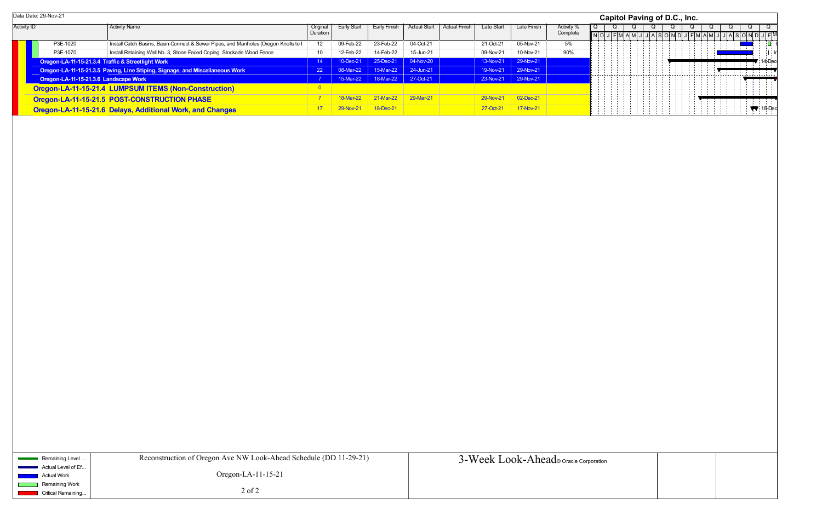|                    | Data Date: 29-Nov-21                  |                                                                                     |          |             |                    |                     |                      |            |                    |            | Capitol Paving of D.C., Inc. |  |  |  |
|--------------------|---------------------------------------|-------------------------------------------------------------------------------------|----------|-------------|--------------------|---------------------|----------------------|------------|--------------------|------------|------------------------------|--|--|--|
| <b>Activity ID</b> |                                       | <b>Activity Name</b>                                                                | Original | Early Start | Early Finish       | <b>Actual Start</b> | <b>Actual Finish</b> | Late Start | Late Finish        | Activity % |                              |  |  |  |
|                    |                                       |                                                                                     | Duration |             |                    |                     |                      |            |                    | Complete   |                              |  |  |  |
|                    | P3E-1020                              | Install Catch Basins, Basin-Connect & Sewer Pipes, and Manholes (Oregon Knolls to I | 12       | 09-Feb-22   | 23-Feb-22          | 04-Oct-21           |                      | 21-Oct-21  | 05-Nov-21          | 5%         |                              |  |  |  |
|                    | P3E-1070                              | Install Retaining Wall No. 3, Stone Faced Coping, Stockade Wood Fence               | -10      | 12-Feb-22   | 14-Feb-22          | 15-Jun-21           |                      | 09-Nov-21  | 10-Nov-21          | 90%        |                              |  |  |  |
|                    |                                       | Oregon-LA-11-15-21.3.4 Traffic & Streetlight Work                                   |          | 10-Dec-21   | $\sqrt{25-Dec-21}$ | 04-Nov-20           |                      | 13-Nov-21  | $\sqrt{29-Nov-21}$ |            |                              |  |  |  |
|                    |                                       | Oregon-LA-11-15-21.3.5 Paving, Line Stiping, Signage, and Miscellaneous Work        |          | 08-Mar-22   | 15-Mar-22          | $\vert$ 24-Jun-21   |                      | 19-Nov-21  | $\vert$ 29-Nov-21  |            |                              |  |  |  |
|                    | Oregon-LA-11-15-21.3.6 Landscape Work |                                                                                     |          |             |                    |                     |                      | 23-Nov-21  | $\sqrt{29-Nov-21}$ |            |                              |  |  |  |
|                    |                                       | Oregon-LA-11-15-21.4 LUMPSUM ITEMS (Non-Construction)                               |          |             |                    |                     |                      |            |                    |            |                              |  |  |  |
|                    |                                       | Oregon-LA-11-15-21.5 POST-CONSTRUCTION PHASE                                        |          | 18-Mar-22   | 21-Mar-22          | 29-Mar-21           |                      | 29-Nov-21  | $02$ -Dec-21       |            |                              |  |  |  |
|                    |                                       | Oregon-LA-11-15-21.6 Delays, Additional Work, and Changes                           |          | $29-Nov2$   | 18-Dec-21          |                     |                      | 27-Oct-21  | 17-Nov-21          |            |                              |  |  |  |

| Remaining Level                             | Reconstruction of Oregon Ave NW Look-Ahead Schedule (DD 11-29-21) | 3-Week Look-Ahead oracle Corporation |
|---------------------------------------------|-------------------------------------------------------------------|--------------------------------------|
| Actual Level of Ef<br>Actual Work           | Oregon-LA- $11-15-21$                                             |                                      |
| Remaining Work<br><b>Critical Remaining</b> | $2$ of $2$                                                        |                                      |

|                |       |   | Capitol Paving of D.C., Inc. |   |                         |             |   |  |                   |  |   |  |                |  |                |  |                                            |     |                             |                           |
|----------------|-------|---|------------------------------|---|-------------------------|-------------|---|--|-------------------|--|---|--|----------------|--|----------------|--|--------------------------------------------|-----|-----------------------------|---------------------------|
| $\overline{Q}$ | $N$ D | Q | $J$ $F$ $M$ $A$ $M$          | Q | $\overline{\mathsf{J}}$ |             | Q |  | Q<br><b>ASOND</b> |  | Q |  | $\overline{Q}$ |  | $\overline{Q}$ |  | $\overline{Q}$                             |     | Q                           |                           |
|                |       |   |                              |   |                         | $\mathsf J$ |   |  |                   |  |   |  | $J$ F M A M J  |  |                |  |                                            |     | <u> गोर्बाडवियोर्घामण</u>   | - Il<br>O.                |
|                |       |   |                              |   |                         |             |   |  |                   |  |   |  |                |  |                |  | $\mathbf{u}$                               |     |                             | l ¦ Iη                    |
|                |       |   |                              |   |                         |             |   |  |                   |  |   |  |                |  |                |  |                                            |     | $14$ -Dec                   |                           |
|                |       |   |                              |   |                         |             |   |  |                   |  |   |  |                |  |                |  | $\mathbb{I}_{\mathbb{H}^+}^{\mathbb{I}}$ . | ļ., |                             | $\ddot{\phantom{1}}$<br>v |
|                |       |   |                              |   |                         |             |   |  |                   |  |   |  |                |  |                |  |                                            |     |                             |                           |
|                |       |   |                              |   |                         |             |   |  |                   |  |   |  |                |  |                |  |                                            |     | $\blacktriangledown$ 18-Dec |                           |
|                |       |   |                              |   |                         |             |   |  |                   |  |   |  |                |  |                |  |                                            |     |                             |                           |
|                |       |   |                              |   |                         |             |   |  |                   |  |   |  |                |  |                |  |                                            |     |                             |                           |
|                |       |   |                              |   |                         |             |   |  |                   |  |   |  |                |  |                |  |                                            |     |                             |                           |
|                |       |   |                              |   |                         |             |   |  |                   |  |   |  |                |  |                |  |                                            |     |                             |                           |
|                |       |   |                              |   |                         |             |   |  |                   |  |   |  |                |  |                |  |                                            |     |                             |                           |
|                |       |   |                              |   |                         |             |   |  |                   |  |   |  |                |  |                |  |                                            |     |                             |                           |
|                |       |   |                              |   |                         |             |   |  |                   |  |   |  |                |  |                |  |                                            |     |                             |                           |
|                |       |   |                              |   |                         |             |   |  |                   |  |   |  |                |  |                |  |                                            |     |                             |                           |
|                |       |   |                              |   |                         |             |   |  |                   |  |   |  |                |  |                |  |                                            |     |                             |                           |
|                |       |   |                              |   |                         |             |   |  |                   |  |   |  |                |  |                |  |                                            |     |                             |                           |
|                |       |   |                              |   |                         |             |   |  |                   |  |   |  |                |  |                |  |                                            |     |                             |                           |
|                |       |   |                              |   |                         |             |   |  |                   |  |   |  |                |  |                |  |                                            |     |                             |                           |
|                |       |   |                              |   |                         |             |   |  |                   |  |   |  |                |  |                |  |                                            |     |                             |                           |
|                |       |   |                              |   |                         |             |   |  |                   |  |   |  |                |  |                |  |                                            |     |                             |                           |
|                |       |   |                              |   |                         |             |   |  |                   |  |   |  |                |  |                |  |                                            |     |                             |                           |
|                |       |   |                              |   |                         |             |   |  |                   |  |   |  |                |  |                |  |                                            |     |                             |                           |
|                |       |   |                              |   |                         |             |   |  |                   |  |   |  |                |  |                |  |                                            |     |                             |                           |
|                |       |   |                              |   |                         |             |   |  |                   |  |   |  |                |  |                |  |                                            |     |                             |                           |
|                |       |   |                              |   |                         |             |   |  |                   |  |   |  |                |  |                |  |                                            |     |                             |                           |
|                |       |   |                              |   |                         |             |   |  |                   |  |   |  |                |  |                |  |                                            |     |                             |                           |
|                |       |   |                              |   |                         |             |   |  |                   |  |   |  |                |  |                |  |                                            |     |                             |                           |
|                |       |   |                              |   |                         |             |   |  |                   |  |   |  |                |  |                |  |                                            |     |                             |                           |
|                |       |   |                              |   |                         |             |   |  |                   |  |   |  |                |  |                |  |                                            |     |                             |                           |
|                |       |   |                              |   |                         |             |   |  |                   |  |   |  |                |  |                |  |                                            |     |                             |                           |
|                |       |   |                              |   |                         |             |   |  |                   |  |   |  |                |  |                |  |                                            |     |                             |                           |
|                |       |   |                              |   |                         |             |   |  |                   |  |   |  |                |  |                |  |                                            |     |                             |                           |
|                |       |   |                              |   |                         |             |   |  |                   |  |   |  |                |  |                |  |                                            |     |                             |                           |
|                |       |   |                              |   |                         |             |   |  |                   |  |   |  |                |  |                |  |                                            |     |                             |                           |
|                |       |   |                              |   |                         |             |   |  |                   |  |   |  |                |  |                |  |                                            |     |                             |                           |
|                |       |   |                              |   |                         |             |   |  |                   |  |   |  |                |  |                |  |                                            |     |                             |                           |
| rporation      |       |   |                              |   |                         |             |   |  |                   |  |   |  |                |  |                |  |                                            |     |                             |                           |
|                |       |   |                              |   |                         |             |   |  |                   |  |   |  |                |  |                |  |                                            |     |                             |                           |
|                |       |   |                              |   |                         |             |   |  |                   |  |   |  |                |  |                |  |                                            |     |                             |                           |